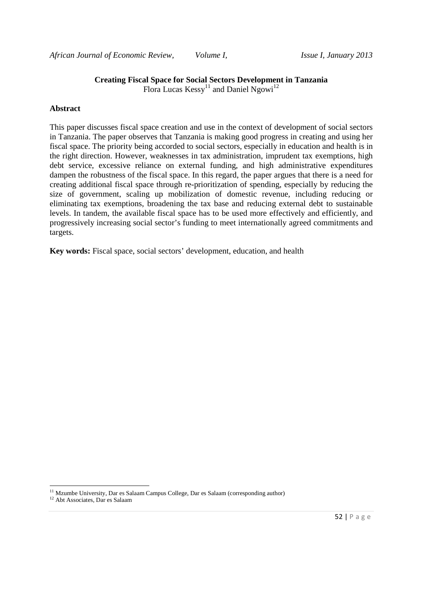# **Creating Fiscal Space for Social Sectors Development in Tanzania**

Flora Lucas  $Kessy^{11}$  and Daniel Ngowi<sup>12</sup>

#### **Abstract**

This paper discusses fiscal space creation and use in the context of development of social sectors in Tanzania. The paper observes that Tanzania is making good progress in creating and using her fiscal space. The priority being accorded to social sectors, especially in education and health is in the right direction. However, weaknesses in tax administration, imprudent tax exemptions, high debt service, excessive reliance on external funding, and high administrative expenditures dampen the robustness of the fiscal space. In this regard, the paper argues that there is a need for creating additional fiscal space through re-prioritization of spending, especially by reducing the size of government, scaling up mobilization of domestic revenue, including reducing or eliminating tax exemptions, broadening the tax base and reducing external debt to sustainable levels. In tandem, the available fiscal space has to be used more effectively and efficiently, and progressively increasing social sector's funding to meet internationally agreed commitments and targets.

**Key words:** Fiscal space, social sectors' development, education, and health

<u>.</u>

<sup>&</sup>lt;sup>11</sup> Mzumbe University, Dar es Salaam Campus College, Dar es Salaam (corresponding author)

<sup>&</sup>lt;sup>12</sup> Abt Associates, Dar es Salaam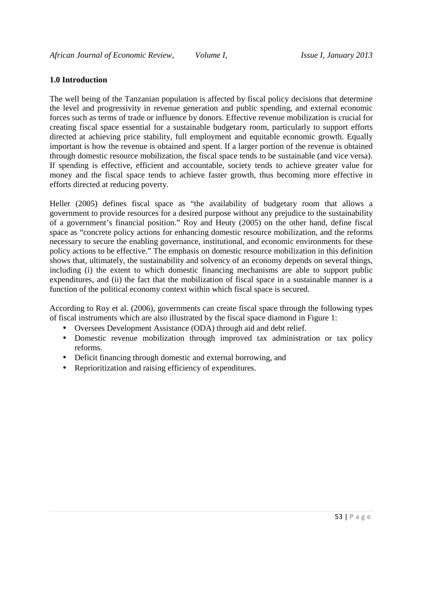#### **1.0 Introduction**

The well being of the Tanzanian population is affected by fiscal policy decisions that determine the level and progressivity in revenue generation and public spending, and external economic forces such as terms of trade or influence by donors. Effective revenue mobilization is crucial for creating fiscal space essential for a sustainable budgetary room, particularly to support efforts directed at achieving price stability, full employment and equitable economic growth. Equally important is how the revenue is obtained and spent. If a larger portion of the revenue is obtained through domestic resource mobilization, the fiscal space tends to be sustainable (and vice versa). If spending is effective, efficient and accountable, society tends to achieve greater value for money and the fiscal space tends to achieve faster growth, thus becoming more effective in efforts directed at reducing poverty.

Heller (2005) defines fiscal space as "the availability of budgetary room that allows a government to provide resources for a desired purpose without any prejudice to the sustainability of a government's financial position." Roy and Heuty (2005) on the other hand, define fiscal space as "concrete policy actions for enhancing domestic resource mobilization, and the reforms necessary to secure the enabling governance, institutional, and economic environments for these policy actions to be effective." The emphasis on domestic resource mobilization in this definition shows that, ultimately, the sustainability and solvency of an economy depends on several things, including (i) the extent to which domestic financing mechanisms are able to support public expenditures, and (ii) the fact that the mobilization of fiscal space in a sustainable manner is a function of the political economy context within which fiscal space is secured.

According to Roy et al. (2006), governments can create fiscal space through the following types of fiscal instruments which are also illustrated by the fiscal space diamond in Figure 1:

- Oversees Development Assistance (ODA) through aid and debt relief.
- Domestic revenue mobilization through improved tax administration or tax policy reforms.
- Deficit financing through domestic and external borrowing, and
- Reprioritization and raising efficiency of expenditures.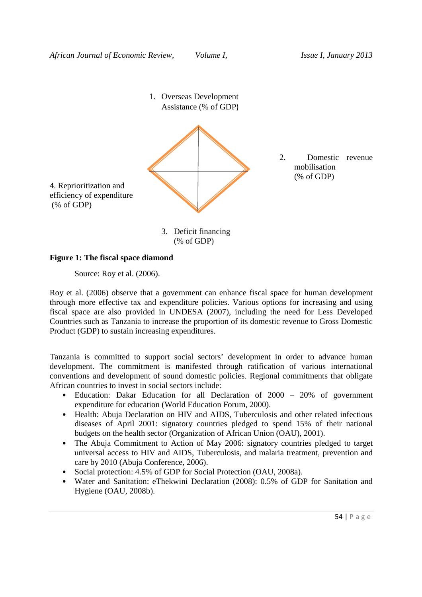

#### **Figure 1: The fiscal space diamond**

Source: Roy et al. (2006).

Roy et al. (2006) observe that a government can enhance fiscal space for human development through more effective tax and expenditure policies. Various options for increasing and using fiscal space are also provided in UNDESA (2007), including the need for Less Developed Countries such as Tanzania to increase the proportion of its domestic revenue to Gross Domestic Product (GDP) to sustain increasing expenditures.

Tanzania is committed to support social sectors' development in order to advance human development. The commitment is manifested through ratification of various international conventions and development of sound domestic policies. Regional commitments that obligate African countries to invest in social sectors include:

- Education: Dakar Education for all Declaration of 2000 20% of government expenditure for education (World Education Forum, 2000).
- Health: Abuja Declaration on HIV and AIDS, Tuberculosis and other related infectious diseases of April 2001: signatory countries pledged to spend 15% of their national budgets on the health sector (Organization of African Union (OAU), 2001).
- The Abuja Commitment to Action of May 2006: signatory countries pledged to target universal access to HIV and AIDS, Tuberculosis, and malaria treatment, prevention and care by 2010 (Abuja Conference, 2006).
- Social protection: 4.5% of GDP for Social Protection (OAU, 2008a).
- Water and Sanitation: eThekwini Declaration (2008): 0.5% of GDP for Sanitation and Hygiene (OAU, 2008b).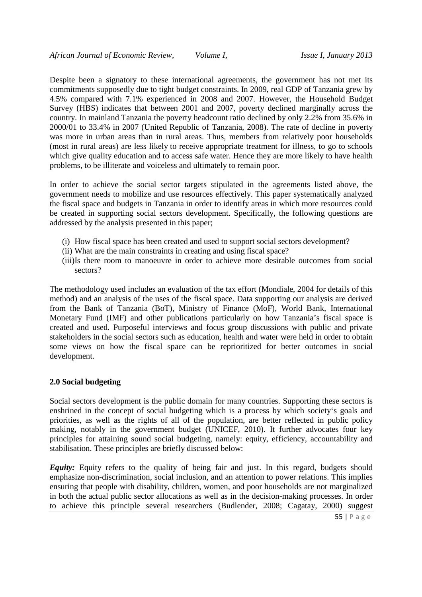Despite been a signatory to these international agreements, the government has not met its commitments supposedly due to tight budget constraints. In 2009, real GDP of Tanzania grew by 4.5% compared with 7.1% experienced in 2008 and 2007. However, the Household Budget Survey (HBS) indicates that between 2001 and 2007, poverty declined marginally across the country. In mainland Tanzania the poverty headcount ratio declined by only 2.2% from 35.6% in 2000/01 to 33.4% in 2007 (United Republic of Tanzania, 2008). The rate of decline in poverty was more in urban areas than in rural areas. Thus, members from relatively poor households (most in rural areas) are less likely to receive appropriate treatment for illness, to go to schools which give quality education and to access safe water. Hence they are more likely to have health problems, to be illiterate and voiceless and ultimately to remain poor.

In order to achieve the social sector targets stipulated in the agreements listed above, the government needs to mobilize and use resources effectively. This paper systematically analyzed the fiscal space and budgets in Tanzania in order to identify areas in which more resources could be created in supporting social sectors development. Specifically, the following questions are addressed by the analysis presented in this paper;

- (i) How fiscal space has been created and used to support social sectors development?
- (ii) What are the main constraints in creating and using fiscal space?
- (iii)Is there room to manoeuvre in order to achieve more desirable outcomes from social sectors?

The methodology used includes an evaluation of the tax effort (Mondiale, 2004 for details of this method) and an analysis of the uses of the fiscal space. Data supporting our analysis are derived from the Bank of Tanzania (BoT), Ministry of Finance (MoF), World Bank, International Monetary Fund (IMF) and other publications particularly on how Tanzania's fiscal space is created and used. Purposeful interviews and focus group discussions with public and private stakeholders in the social sectors such as education, health and water were held in order to obtain some views on how the fiscal space can be reprioritized for better outcomes in social development.

#### **2.0 Social budgeting**

Social sectors development is the public domain for many countries. Supporting these sectors is enshrined in the concept of social budgeting which is a process by which society's goals and priorities, as well as the rights of all of the population, are better reflected in public policy making, notably in the government budget (UNICEF, 2010). It further advocates four key principles for attaining sound social budgeting, namely: equity, efficiency, accountability and stabilisation. These principles are briefly discussed below:

*Equity:* Equity refers to the quality of being fair and just. In this regard, budgets should emphasize non-discrimination, social inclusion, and an attention to power relations. This implies ensuring that people with disability, children, women, and poor households are not marginalized in both the actual public sector allocations as well as in the decision-making processes. In order to achieve this principle several researchers (Budlender, 2008; Cagatay, 2000) suggest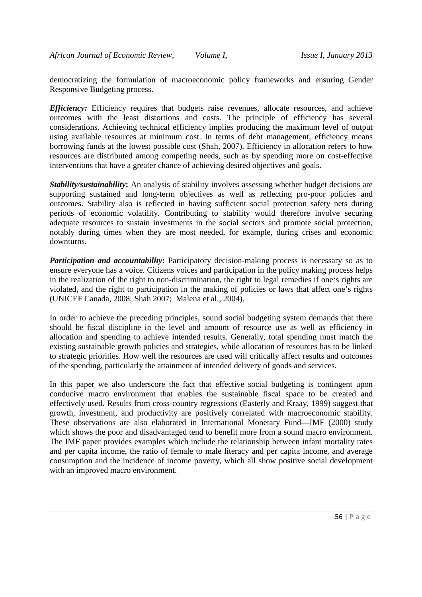democratizing the formulation of macroeconomic policy frameworks and ensuring Gender Responsive Budgeting process.

*Efficiency:* Efficiency requires that budgets raise revenues, allocate resources, and achieve outcomes with the least distortions and costs. The principle of efficiency has several considerations. Achieving technical efficiency implies producing the maximum level of output using available resources at minimum cost. In terms of debt management, efficiency means borrowing funds at the lowest possible cost (Shah, 2007). Efficiency in allocation refers to how resources are distributed among competing needs, such as by spending more on cost-effective interventions that have a greater chance of achieving desired objectives and goals.

*Stability/sustainability***:** An analysis of stability involves assessing whether budget decisions are supporting sustained and long-term objectives as well as reflecting pro-poor policies and outcomes. Stability also is reflected in having sufficient social protection safety nets during periods of economic volatility. Contributing to stability would therefore involve securing adequate resources to sustain investments in the social sectors and promote social protection, notably during times when they are most needed, for example, during crises and economic downturns.

*Participation and accountability*: Participatory decision-making process is necessary so as to ensure everyone has a voice. Citizens voices and participation in the policy making process helps in the realization of the right to non-discrimination, the right to legal remedies if one's rights are violated, and the right to participation in the making of policies or laws that affect one's rights (UNICEF Canada, 2008; Shah 2007; Malena et al., 2004).

In order to achieve the preceding principles, sound social budgeting system demands that there should be fiscal discipline in the level and amount of resource use as well as efficiency in allocation and spending to achieve intended results. Generally, total spending must match the existing sustainable growth policies and strategies, while allocation of resources has to be linked to strategic priorities. How well the resources are used will critically affect results and outcomes of the spending, particularly the attainment of intended delivery of goods and services.

In this paper we also underscore the fact that effective social budgeting is contingent upon conducive macro environment that enables the sustainable fiscal space to be created and effectively used. Results from cross-country regressions (Easterly and Kraay, 1999) suggest that growth, investment, and productivity are positively correlated with macroeconomic stability. These observations are also elaborated in International Monetary Fund—IMF (2000) study which shows the poor and disadvantaged tend to benefit more from a sound macro environment. The IMF paper provides examples which include the relationship between infant mortality rates and per capita income, the ratio of female to male literacy and per capita income, and average consumption and the incidence of income poverty, which all show positive social development with an improved macro environment.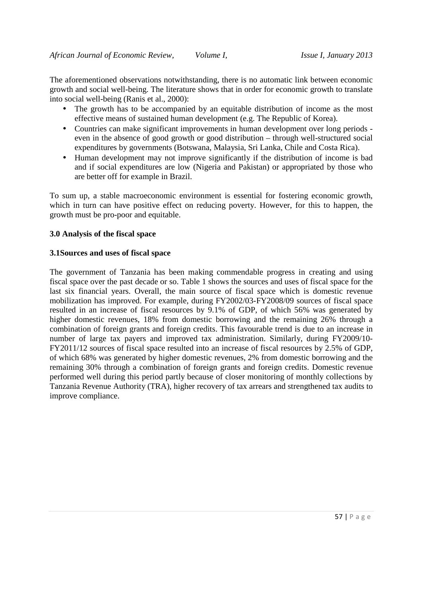The aforementioned observations notwithstanding, there is no automatic link between economic growth and social well-being. The literature shows that in order for economic growth to translate into social well-being (Ranis et al., 2000):

- The growth has to be accompanied by an equitable distribution of income as the most effective means of sustained human development (e.g. The Republic of Korea).
- Countries can make significant improvements in human development over long periods even in the absence of good growth or good distribution – through well-structured social expenditures by governments (Botswana, Malaysia, Sri Lanka, Chile and Costa Rica).
- Human development may not improve significantly if the distribution of income is bad and if social expenditures are low (Nigeria and Pakistan) or appropriated by those who are better off for example in Brazil.

To sum up, a stable macroeconomic environment is essential for fostering economic growth, which in turn can have positive effect on reducing poverty. However, for this to happen, the growth must be pro-poor and equitable.

### **3.0 Analysis of the fiscal space**

#### **3.1Sources and uses of fiscal space**

The government of Tanzania has been making commendable progress in creating and using fiscal space over the past decade or so. Table 1 shows the sources and uses of fiscal space for the last six financial years. Overall, the main source of fiscal space which is domestic revenue mobilization has improved. For example, during FY2002/03-FY2008/09 sources of fiscal space resulted in an increase of fiscal resources by 9.1% of GDP, of which 56% was generated by higher domestic revenues, 18% from domestic borrowing and the remaining 26% through a combination of foreign grants and foreign credits. This favourable trend is due to an increase in number of large tax payers and improved tax administration. Similarly, during FY2009/10- FY2011/12 sources of fiscal space resulted into an increase of fiscal resources by 2.5% of GDP, of which 68% was generated by higher domestic revenues, 2% from domestic borrowing and the remaining 30% through a combination of foreign grants and foreign credits. Domestic revenue performed well during this period partly because of closer monitoring of monthly collections by Tanzania Revenue Authority (TRA), higher recovery of tax arrears and strengthened tax audits to improve compliance.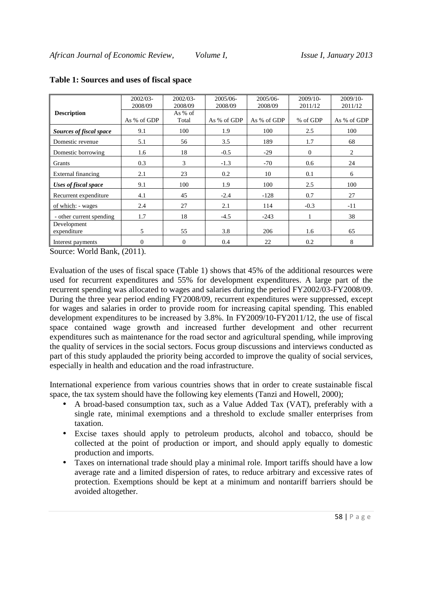|                          | 2002/03-<br>$2002/03 -$ |         | 2005/06-    | 2005/06-    | 2009/10-     | $2009/10-$  |  |
|--------------------------|-------------------------|---------|-------------|-------------|--------------|-------------|--|
|                          | 2008/09                 | 2008/09 | 2008/09     | 2008/09     | 2011/12      | 2011/12     |  |
| <b>Description</b>       |                         | As % of |             |             |              |             |  |
|                          | As % of GDP             | Total   | As % of GDP | As % of GDP | % of GDP     | As % of GDP |  |
| Sources of fiscal space  | 9.1                     | 100     | 1.9         | 100         | 2.5          | 100         |  |
| Domestic revenue         | 5.1                     | 56      | 3.5         | 189         | 1.7          | 68          |  |
| Domestic borrowing       | 1.6                     | 18      | $-0.5$      | $-29$       | $\mathbf{0}$ | 2           |  |
| Grants                   | 0.3                     | 3       | $-1.3$      | $-70$       | 0.6          | 24          |  |
| External financing       | 2.1                     | 23      | 0.2         | 10          | 0.1          | 6           |  |
| Uses of fiscal space     | 9.1                     | 100     | 1.9         | 100         | 2.5          | 100         |  |
| Recurrent expenditure    | 4.1                     | 45      | $-2.4$      | $-128$      | 0.7          | 27          |  |
| of which: - wages        | 2.4                     | 27      | 2.1         | 114         | $-0.3$       | $-11$       |  |
| - other current spending | 1.7                     | 18      | $-4.5$      | $-243$      |              | 38          |  |
| Development              |                         |         |             |             |              |             |  |
| expenditure              | 5                       | 55      | 3.8         | 206         | 1.6          | 65          |  |
| Interest payments        | $\overline{0}$          | 0       | 0.4         | 22          | 0.2          | 8           |  |

#### **Table 1: Sources and uses of fiscal space**

Source: World Bank, (2011).

Evaluation of the uses of fiscal space (Table 1) shows that 45% of the additional resources were used for recurrent expenditures and 55% for development expenditures. A large part of the recurrent spending was allocated to wages and salaries during the period FY2002/03-FY2008/09. During the three year period ending FY2008/09, recurrent expenditures were suppressed, except for wages and salaries in order to provide room for increasing capital spending. This enabled development expenditures to be increased by 3.8%. In FY2009/10-FY2011/12, the use of fiscal space contained wage growth and increased further development and other recurrent expenditures such as maintenance for the road sector and agricultural spending, while improving the quality of services in the social sectors. Focus group discussions and interviews conducted as part of this study applauded the priority being accorded to improve the quality of social services, especially in health and education and the road infrastructure.

International experience from various countries shows that in order to create sustainable fiscal space, the tax system should have the following key elements (Tanzi and Howell, 2000);

- A broad-based consumption tax, such as a Value Added Tax (VAT), preferably with a single rate, minimal exemptions and a threshold to exclude smaller enterprises from taxation.
- Excise taxes should apply to petroleum products, alcohol and tobacco, should be collected at the point of production or import, and should apply equally to domestic production and imports.
- Taxes on international trade should play a minimal role. Import tariffs should have a low average rate and a limited dispersion of rates, to reduce arbitrary and excessive rates of protection. Exemptions should be kept at a minimum and nontariff barriers should be avoided altogether.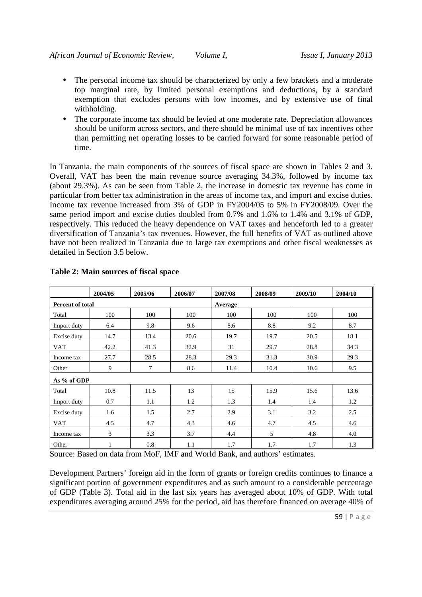- The personal income tax should be characterized by only a few brackets and a moderate top marginal rate, by limited personal exemptions and deductions, by a standard exemption that excludes persons with low incomes, and by extensive use of final withholding.
- The corporate income tax should be levied at one moderate rate. Depreciation allowances should be uniform across sectors, and there should be minimal use of tax incentives other than permitting net operating losses to be carried forward for some reasonable period of time.

In Tanzania, the main components of the sources of fiscal space are shown in Tables 2 and 3. Overall, VAT has been the main revenue source averaging 34.3%, followed by income tax (about 29.3%). As can be seen from Table 2, the increase in domestic tax revenue has come in particular from better tax administration in the areas of income tax, and import and excise duties. Income tax revenue increased from 3% of GDP in FY2004/05 to 5% in FY2008/09. Over the same period import and excise duties doubled from 0.7% and 1.6% to 1.4% and 3.1% of GDP, respectively. This reduced the heavy dependence on VAT taxes and henceforth led to a greater diversification of Tanzania's tax revenues. However, the full benefits of VAT as outlined above have not been realized in Tanzania due to large tax exemptions and other fiscal weaknesses as detailed in Section 3.5 below.

|                         | 2004/05      | 2005/06 | 2006/07 | 2007/08 | 2008/09 | 2009/10 | 2004/10 |  |  |  |  |
|-------------------------|--------------|---------|---------|---------|---------|---------|---------|--|--|--|--|
| <b>Percent of total</b> |              |         |         | Average |         |         |         |  |  |  |  |
| Total                   | 100          | 100     | 100     | 100     | 100     | 100     | 100     |  |  |  |  |
| Import duty             | 6.4          | 9.8     | 9.6     | 8.6     | 8.8     | 9.2     | 8.7     |  |  |  |  |
| Excise duty             | 14.7         | 13.4    | 20.6    | 19.7    | 19.7    | 20.5    | 18.1    |  |  |  |  |
| <b>VAT</b>              | 42.2         | 41.3    | 32.9    | 31      | 29.7    | 28.8    | 34.3    |  |  |  |  |
| Income tax              | 27.7         | 28.5    | 28.3    | 29.3    | 31.3    | 30.9    | 29.3    |  |  |  |  |
| Other                   | 9            | 7       | 8.6     | 11.4    | 10.4    | 10.6    | 9.5     |  |  |  |  |
| As % of GDP             |              |         |         |         |         |         |         |  |  |  |  |
| Total                   | 10.8<br>11.5 |         | 13      | 15      | 15.9    | 15.6    | 13.6    |  |  |  |  |
| Import duty             | 0.7          | 1.1     | 1.2     | 1.3     | 1.4     | 1.4     | 1.2     |  |  |  |  |
| Excise duty             | 1.6          | 1.5     | 2.7     | 2.9     | 3.1     | 3.2     | 2.5     |  |  |  |  |
| <b>VAT</b>              | 4.5          | 4.7     | 4.3     | 4.6     | 4.7     | 4.5     | 4.6     |  |  |  |  |
| Income tax              | 3            | 3.3     | 3.7     | 4.4     | 5       | 4.8     | 4.0     |  |  |  |  |
| Other                   | 1            | 0.8     | 1.1     | 1.7     | 1.7     | 1.7     | 1.3     |  |  |  |  |

# **Table 2: Main sources of fiscal space**

Source: Based on data from MoF, IMF and World Bank, and authors' estimates.

Development Partners' foreign aid in the form of grants or foreign credits continues to finance a significant portion of government expenditures and as such amount to a considerable percentage of GDP (Table 3). Total aid in the last six years has averaged about 10% of GDP. With total expenditures averaging around 25% for the period, aid has therefore financed on average 40% of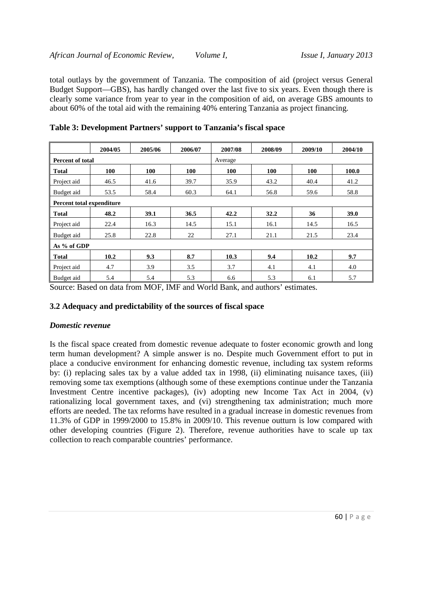total outlays by the government of Tanzania. The composition of aid (project versus General Budget Support—GBS), has hardly changed over the last five to six years. Even though there is clearly some variance from year to year in the composition of aid, on average GBS amounts to about 60% of the total aid with the remaining 40% entering Tanzania as project financing.

|                           | 2004/05 | 2005/06    | 2006/07 | 2007/08 | 2008/09    | 2009/10 | 2004/10     |  |  |  |  |
|---------------------------|---------|------------|---------|---------|------------|---------|-------------|--|--|--|--|
| Percent of total          |         |            |         | Average |            |         |             |  |  |  |  |
| <b>Total</b>              | 100     | <b>100</b> | 100     | 100     | <b>100</b> | 100     | 100.0       |  |  |  |  |
| Project aid               | 46.5    | 41.6       | 39.7    | 35.9    | 43.2       | 40.4    | 41.2        |  |  |  |  |
| Budget aid                | 53.5    | 58.4       | 60.3    | 64.1    | 56.8       | 59.6    | 58.8        |  |  |  |  |
| Percent total expenditure |         |            |         |         |            |         |             |  |  |  |  |
| <b>Total</b>              | 48.2    | 39.1       | 36.5    | 42.2    | 32.2       | 36      | <b>39.0</b> |  |  |  |  |
| Project aid               | 22.4    | 16.3       | 14.5    | 15.1    | 16.1       | 14.5    | 16.5        |  |  |  |  |
| Budget aid                | 25.8    | 22.8       | 22      | 27.1    | 21.1       | 21.5    | 23.4        |  |  |  |  |
| As % of GDP               |         |            |         |         |            |         |             |  |  |  |  |
| <b>Total</b>              | 10.2    | 9.3        | 8.7     | 10.3    | 9.4        | 10.2    | 9.7         |  |  |  |  |
| Project aid               | 4.7     | 3.9        | 3.5     | 3.7     | 4.1        | 4.1     | 4.0         |  |  |  |  |
| Budget aid                | 5.4     | 5.4        | 5.3     | 6.6     | 5.3        | 6.1     | 5.7         |  |  |  |  |

**Table 3: Development Partners' support to Tanzania's fiscal space** 

Source: Based on data from MOF, IMF and World Bank, and authors' estimates.

# **3.2 Adequacy and predictability of the sources of fiscal space**

#### *Domestic revenue*

Is the fiscal space created from domestic revenue adequate to foster economic growth and long term human development? A simple answer is no. Despite much Government effort to put in place a conducive environment for enhancing domestic revenue, including tax system reforms by: (i) replacing sales tax by a value added tax in 1998, (ii) eliminating nuisance taxes, (iii) removing some tax exemptions (although some of these exemptions continue under the Tanzania Investment Centre incentive packages), (iv) adopting new Income Tax Act in 2004, (v) rationalizing local government taxes, and (vi) strengthening tax administration; much more efforts are needed. The tax reforms have resulted in a gradual increase in domestic revenues from 11.3% of GDP in 1999/2000 to 15.8% in 2009/10. This revenue outturn is low compared with other developing countries (Figure 2). Therefore, revenue authorities have to scale up tax collection to reach comparable countries' performance.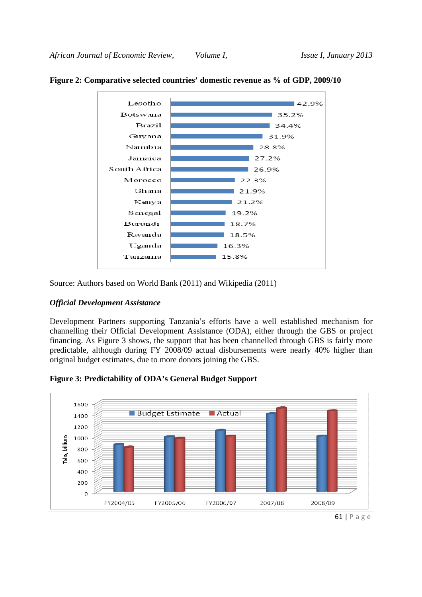

### **Figure 2: Comparative selected countries' domestic revenue as % of GDP, 2009/10**

Source: Authors based on World Bank (2011) and Wikipedia (2011)

#### *Official Development Assistance*

Development Partners supporting Tanzania's efforts have a well established mechanism for channelling their Official Development Assistance (ODA), either through the GBS or project financing. As Figure 3 shows, the support that has been channelled through GBS is fairly more predictable, although during FY 2008/09 actual disbursements were nearly 40% higher than original budget estimates, due to more donors joining the GBS.





<sup>61 |</sup> P a g e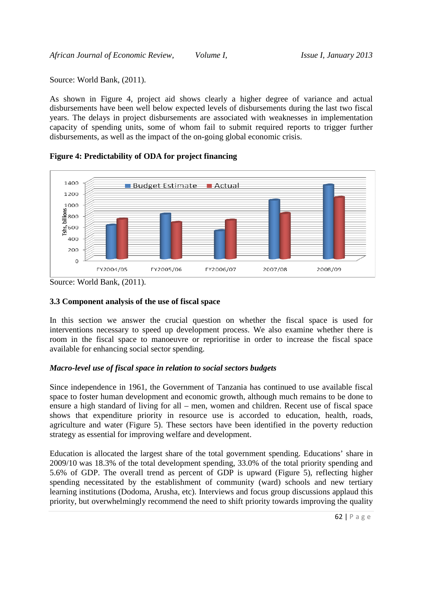Source: World Bank, (2011).

As shown in Figure 4, project aid shows clearly a higher degree of variance and actual disbursements have been well below expected levels of disbursements during the last two fiscal years. The delays in project disbursements are associated with weaknesses in implementation capacity of spending units, some of whom fail to submit required reports to trigger further disbursements, as well as the impact of the on-going global economic crisis.

#### **Figure 4: Predictability of ODA for project financing**



Source: World Bank, (2011).

# **3.3 Component analysis of the use of fiscal space**

In this section we answer the crucial question on whether the fiscal space is used for interventions necessary to speed up development process. We also examine whether there is room in the fiscal space to manoeuvre or reprioritise in order to increase the fiscal space available for enhancing social sector spending.

# *Macro-level use of fiscal space in relation to social sectors budgets*

Since independence in 1961, the Government of Tanzania has continued to use available fiscal space to foster human development and economic growth, although much remains to be done to ensure a high standard of living for all – men, women and children. Recent use of fiscal space shows that expenditure priority in resource use is accorded to education, health, roads, agriculture and water (Figure 5). These sectors have been identified in the poverty reduction strategy as essential for improving welfare and development.

Education is allocated the largest share of the total government spending. Educations' share in 2009/10 was 18.3% of the total development spending, 33.0% of the total priority spending and 5.6% of GDP. The overall trend as percent of GDP is upward (Figure 5), reflecting higher spending necessitated by the establishment of community (ward) schools and new tertiary learning institutions (Dodoma, Arusha, etc). Interviews and focus group discussions applaud this priority, but overwhelmingly recommend the need to shift priority towards improving the quality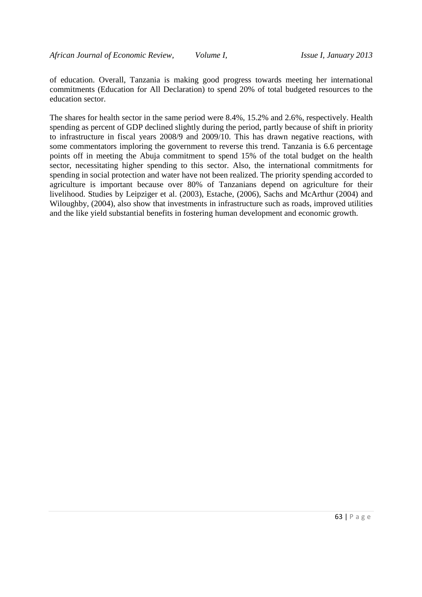of education. Overall, Tanzania is making good progress towards meeting her international commitments (Education for All Declaration) to spend 20% of total budgeted resources to the education sector.

The shares for health sector in the same period were 8.4%, 15.2% and 2.6%, respectively. Health spending as percent of GDP declined slightly during the period, partly because of shift in priority to infrastructure in fiscal years 2008/9 and 2009/10. This has drawn negative reactions, with some commentators imploring the government to reverse this trend. Tanzania is 6.6 percentage points off in meeting the Abuja commitment to spend 15% of the total budget on the health sector, necessitating higher spending to this sector. Also, the international commitments for spending in social protection and water have not been realized. The priority spending accorded to agriculture is important because over 80% of Tanzanians depend on agriculture for their livelihood. Studies by Leipziger et al. (2003), Estache, (2006), Sachs and McArthur (2004) and Wiloughby, (2004), also show that investments in infrastructure such as roads, improved utilities and the like yield substantial benefits in fostering human development and economic growth.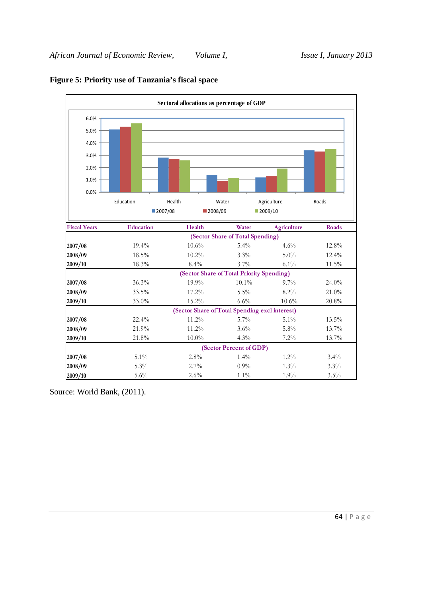

# **Figure 5: Priority use of Tanzania's fiscal space**

Source: World Bank, (2011).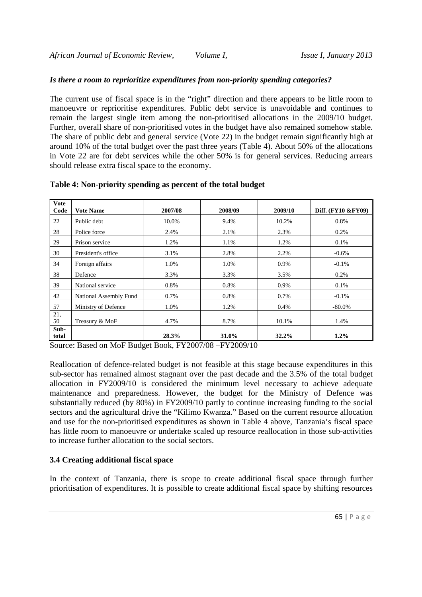#### *Is there a room to reprioritize expenditures from non-priority spending categories?*

The current use of fiscal space is in the "right" direction and there appears to be little room to manoeuvre or reprioritise expenditures. Public debt service is unavoidable and continues to remain the largest single item among the non-prioritised allocations in the 2009/10 budget. Further, overall share of non-prioritised votes in the budget have also remained somehow stable. The share of public debt and general service (Vote 22) in the budget remain significantly high at around 10% of the total budget over the past three years (Table 4). About 50% of the allocations in Vote 22 are for debt services while the other 50% is for general services. Reducing arrears should release extra fiscal space to the economy.

| <b>Vote</b><br>Code | <b>Vote Name</b>       | 2007/08 | 2008/09 | 2009/10 | Diff. (FY10 & FY09) |
|---------------------|------------------------|---------|---------|---------|---------------------|
| 22                  | Public debt            | 10.0%   | 9.4%    | 10.2%   | 0.8%                |
| 28                  | Police force           | 2.4%    | 2.1%    | 2.3%    | 0.2%                |
| 29                  | Prison service         | 1.2%    | 1.1%    | 1.2%    | 0.1%                |
| 30                  | President's office     | 3.1%    | 2.8%    | 2.2%    | $-0.6%$             |
| 34                  | Foreign affairs        | 1.0%    | 1.0%    | 0.9%    | $-0.1%$             |
| 38                  | Defence                | 3.3%    | 3.3%    | 3.5%    | 0.2%                |
| 39                  | National service       | 0.8%    | 0.8%    | 0.9%    | 0.1%                |
| 42                  | National Assembly Fund | 0.7%    | 0.8%    | 0.7%    | $-0.1\%$            |
| 57                  | Ministry of Defence    | 1.0%    | 1.2%    | 0.4%    | $-80.0\%$           |
| 21,<br>50           | Treasury & MoF         | 4.7%    | 8.7%    | 10.1%   | 1.4%                |
| Sub-<br>total       |                        | 28.3%   | 31.0%   | 32.2%   | $1.2\%$             |

#### **Table 4: Non-priority spending as percent of the total budget**

Source: Based on MoF Budget Book, FY2007/08 –FY2009/10

Reallocation of defence-related budget is not feasible at this stage because expenditures in this sub-sector has remained almost stagnant over the past decade and the 3.5% of the total budget allocation in FY2009/10 is considered the minimum level necessary to achieve adequate maintenance and preparedness. However, the budget for the Ministry of Defence was substantially reduced (by 80%) in FY2009/10 partly to continue increasing funding to the social sectors and the agricultural drive the "Kilimo Kwanza." Based on the current resource allocation and use for the non-prioritised expenditures as shown in Table 4 above, Tanzania's fiscal space has little room to manoeuvre or undertake scaled up resource reallocation in those sub-activities to increase further allocation to the social sectors.

# **3.4 Creating additional fiscal space**

In the context of Tanzania, there is scope to create additional fiscal space through further prioritisation of expenditures. It is possible to create additional fiscal space by shifting resources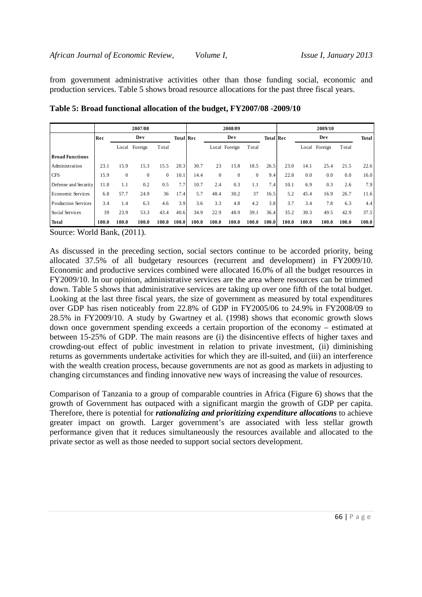from government administrative activities other than those funding social, economic and production services. Table 5 shows broad resource allocations for the past three fiscal years.

|                            | 2007/08 |              |              |                | 2008/09          |       |              |               | 2009/10          |       |       |       |               |       |       |
|----------------------------|---------|--------------|--------------|----------------|------------------|-------|--------------|---------------|------------------|-------|-------|-------|---------------|-------|-------|
|                            | Rec     |              | Dev          |                | <b>Total Rec</b> | De v  |              |               | <b>Total Rec</b> |       |       | De v  | Total         |       |       |
|                            |         | Local        | Foreign      | Total          |                  |       |              | Local Foreign | Total            |       |       |       | Local Foreign | Total |       |
| <b>Broad Functions</b>     |         |              |              |                |                  |       |              |               |                  |       |       |       |               |       |       |
| Administration             | 23.1    | 15.9         | 15.3         | 15.5           | 20.3             | 30.7  | 23           | 15.8          | 18.5             | 26.5  | 23.0  | 14.1  | 25.4          | 21.5  | 22.6  |
| <b>CFS</b>                 | 15.9    | $\mathbf{0}$ | $\mathbf{0}$ | $\overline{0}$ | 10.1             | 14.4  | $\mathbf{0}$ | $\mathbf{0}$  | $\mathbf{0}$     | 9.4   | 22.8  | 0.0   | 0.0           | 0.0   | 16.0  |
| Defense and Security       | 11.8    | 1.1          | 0.2          | 0.5            | 7.7              | 10.7  | 2.4          | 0.3           | 1.1              | 7.4   | 10.1  | 6.9   | 0.3           | 2.6   | 7.9   |
| Economic Services          | 6.8     | 57.7         | 24.9         | 36             | 17.4             | 5.7   | 48.4         | 30.2          | 37               | 16.5  | 5.2   | 45.4  | 16.9          | 26.7  | 11.6  |
| <b>Production Services</b> | 3.4     | 1.4          | 6.3          | 4.6            | 3.9              | 3.6   | 3.3          | 4.8           | 4.2              | 3.8   | 3.7   | 3.4   | 7.8           | 6.3   | 4.4   |
| Social Services            | 39      | 23.9         | 53.3         | 43.4           | 40.6             | 34.9  | 22.9         | 48.9          | 39.1             | 36.4  | 35.2  | 30.3  | 49.5          | 42.9  | 37.5  |
| <b>Total</b>               | 100.0   | 100.0        | 100.0        | 100.0          | 100.0            | 100.0 | 100.0        | 100.0         | 100.0            | 100.0 | 100.0 | 100.0 | 100.0         | 100.0 | 100.0 |

**Table 5: Broad functional allocation of the budget, FY2007/08 -2009/10** 

Source: World Bank, (2011).

As discussed in the preceding section, social sectors continue to be accorded priority, being allocated 37.5% of all budgetary resources (recurrent and development) in FY2009/10. Economic and productive services combined were allocated 16.0% of all the budget resources in FY2009/10. In our opinion, administrative services are the area where resources can be trimmed down. Table 5 shows that administrative services are taking up over one fifth of the total budget. Looking at the last three fiscal years, the size of government as measured by total expenditures over GDP has risen noticeably from 22.8% of GDP in FY2005/06 to 24.9% in FY2008/09 to 28.5% in FY2009/10. A study by Gwartney et al. (1998) shows that economic growth slows down once government spending exceeds a certain proportion of the economy – estimated at between 15-25% of GDP. The main reasons are (i) the disincentive effects of higher taxes and crowding-out effect of public investment in relation to private investment, (ii) diminishing returns as governments undertake activities for which they are ill-suited, and (iii) an interference with the wealth creation process, because governments are not as good as markets in adjusting to changing circumstances and finding innovative new ways of increasing the value of resources.

Comparison of Tanzania to a group of comparable countries in Africa (Figure 6) shows that the growth of Government has outpaced with a significant margin the growth of GDP per capita. Therefore, there is potential for *rationalizing and prioritizing expenditure allocations* to achieve greater impact on growth. Larger government's are associated with less stellar growth performance given that it reduces simultaneously the resources available and allocated to the private sector as well as those needed to support social sectors development.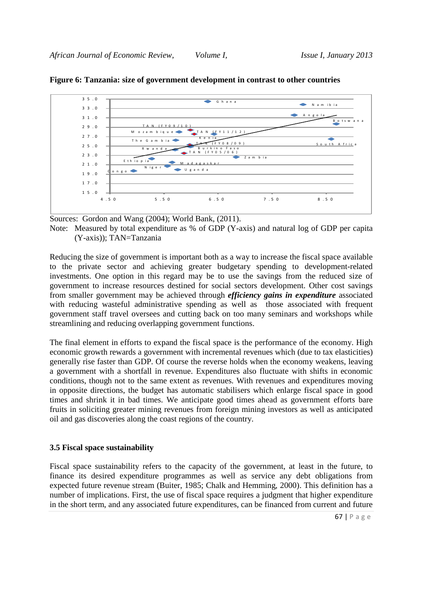

### **Figure 6: Tanzania: size of government development in contrast to other countries**

Sources: Gordon and Wang (2004); World Bank, (2011).

Note: Measured by total expenditure as % of GDP (Y-axis) and natural log of GDP per capita (Y-axis)); TAN=Tanzania

Reducing the size of government is important both as a way to increase the fiscal space available to the private sector and achieving greater budgetary spending to development-related investments. One option in this regard may be to use the savings from the reduced size of government to increase resources destined for social sectors development. Other cost savings from smaller government may be achieved through *efficiency gains in expenditure* associated with reducing wasteful administrative spending as well as those associated with frequent government staff travel oversees and cutting back on too many seminars and workshops while streamlining and reducing overlapping government functions.

The final element in efforts to expand the fiscal space is the performance of the economy. High economic growth rewards a government with incremental revenues which (due to tax elasticities) generally rise faster than GDP. Of course the reverse holds when the economy weakens, leaving a government with a shortfall in revenue. Expenditures also fluctuate with shifts in economic conditions, though not to the same extent as revenues. With revenues and expenditures moving in opposite directions, the budget has automatic stabilisers which enlarge fiscal space in good times and shrink it in bad times. We anticipate good times ahead as government efforts bare fruits in soliciting greater mining revenues from foreign mining investors as well as anticipated oil and gas discoveries along the coast regions of the country.

#### **3.5 Fiscal space sustainability**

Fiscal space sustainability refers to the capacity of the government, at least in the future, to finance its desired expenditure programmes as well as service any debt obligations from expected future revenue stream (Buiter, 1985; Chalk and Hemming, 2000). This definition has a number of implications. First, the use of fiscal space requires a judgment that higher expenditure in the short term, and any associated future expenditures, can be financed from current and future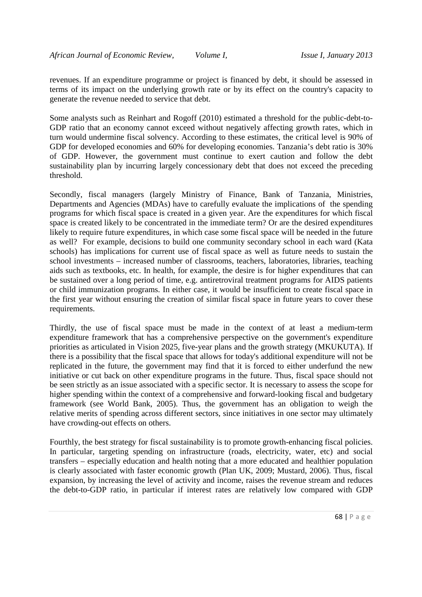revenues. If an expenditure programme or project is financed by debt, it should be assessed in terms of its impact on the underlying growth rate or by its effect on the country's capacity to generate the revenue needed to service that debt.

Some analysts such as Reinhart and Rogoff (2010) estimated a threshold for the public-debt-to-GDP ratio that an economy cannot exceed without negatively affecting growth rates, which in turn would undermine fiscal solvency. According to these estimates, the critical level is 90% of GDP for developed economies and 60% for developing economies. Tanzania's debt ratio is 30% of GDP. However, the government must continue to exert caution and follow the debt sustainability plan by incurring largely concessionary debt that does not exceed the preceding threshold.

Secondly, fiscal managers (largely Ministry of Finance, Bank of Tanzania, Ministries, Departments and Agencies (MDAs) have to carefully evaluate the implications of the spending programs for which fiscal space is created in a given year. Are the expenditures for which fiscal space is created likely to be concentrated in the immediate term? Or are the desired expenditures likely to require future expenditures, in which case some fiscal space will be needed in the future as well? For example, decisions to build one community secondary school in each ward (Kata schools) has implications for current use of fiscal space as well as future needs to sustain the school investments – increased number of classrooms, teachers, laboratories, libraries, teaching aids such as textbooks, etc. In health, for example, the desire is for higher expenditures that can be sustained over a long period of time, e.g. antiretroviral treatment programs for AIDS patients or child immunization programs. In either case, it would be insufficient to create fiscal space in the first year without ensuring the creation of similar fiscal space in future years to cover these requirements.

Thirdly, the use of fiscal space must be made in the context of at least a medium-term expenditure framework that has a comprehensive perspective on the government's expenditure priorities as articulated in Vision 2025, five-year plans and the growth strategy (MKUKUTA). If there is a possibility that the fiscal space that allows for today's additional expenditure will not be replicated in the future, the government may find that it is forced to either underfund the new initiative or cut back on other expenditure programs in the future. Thus, fiscal space should not be seen strictly as an issue associated with a specific sector. It is necessary to assess the scope for higher spending within the context of a comprehensive and forward-looking fiscal and budgetary framework (see World Bank, 2005). Thus, the government has an obligation to weigh the relative merits of spending across different sectors, since initiatives in one sector may ultimately have crowding-out effects on others.

Fourthly, the best strategy for fiscal sustainability is to promote growth-enhancing fiscal policies. In particular, targeting spending on infrastructure (roads, electricity, water, etc) and social transfers – especially education and health noting that a more educated and healthier population is clearly associated with faster economic growth (Plan UK, 2009; Mustard, 2006). Thus, fiscal expansion, by increasing the level of activity and income, raises the revenue stream and reduces the debt-to-GDP ratio, in particular if interest rates are relatively low compared with GDP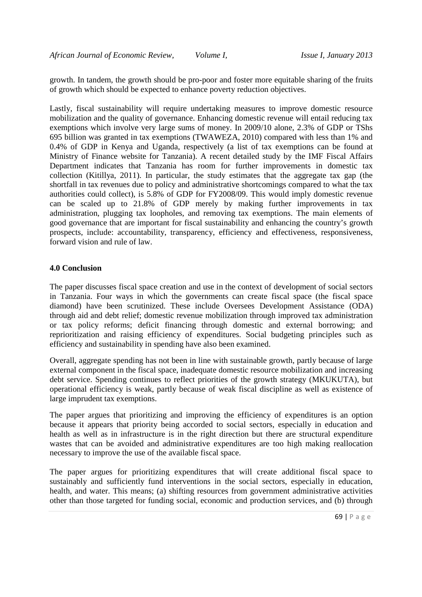growth. In tandem, the growth should be pro-poor and foster more equitable sharing of the fruits of growth which should be expected to enhance poverty reduction objectives.

Lastly, fiscal sustainability will require undertaking measures to improve domestic resource mobilization and the quality of governance. Enhancing domestic revenue will entail reducing tax exemptions which involve very large sums of money. In 2009/10 alone, 2.3% of GDP or TShs 695 billion was granted in tax exemptions (TWAWEZA, 2010) compared with less than 1% and 0.4% of GDP in Kenya and Uganda, respectively (a list of tax exemptions can be found at Ministry of Finance website for Tanzania). A recent detailed study by the IMF Fiscal Affairs Department indicates that Tanzania has room for further improvements in domestic tax collection (Kitillya, 2011). In particular, the study estimates that the aggregate tax gap (the shortfall in tax revenues due to policy and administrative shortcomings compared to what the tax authorities could collect), is 5.8% of GDP for FY2008/09. This would imply domestic revenue can be scaled up to 21.8% of GDP merely by making further improvements in tax administration, plugging tax loopholes, and removing tax exemptions. The main elements of good governance that are important for fiscal sustainability and enhancing the country's growth prospects, include: accountability, transparency, efficiency and effectiveness, responsiveness, forward vision and rule of law.

### **4.0 Conclusion**

The paper discusses fiscal space creation and use in the context of development of social sectors in Tanzania. Four ways in which the governments can create fiscal space (the fiscal space diamond) have been scrutinized. These include Oversees Development Assistance (ODA) through aid and debt relief; domestic revenue mobilization through improved tax administration or tax policy reforms; deficit financing through domestic and external borrowing; and reprioritization and raising efficiency of expenditures. Social budgeting principles such as efficiency and sustainability in spending have also been examined.

Overall, aggregate spending has not been in line with sustainable growth, partly because of large external component in the fiscal space, inadequate domestic resource mobilization and increasing debt service. Spending continues to reflect priorities of the growth strategy (MKUKUTA), but operational efficiency is weak, partly because of weak fiscal discipline as well as existence of large imprudent tax exemptions.

The paper argues that prioritizing and improving the efficiency of expenditures is an option because it appears that priority being accorded to social sectors, especially in education and health as well as in infrastructure is in the right direction but there are structural expenditure wastes that can be avoided and administrative expenditures are too high making reallocation necessary to improve the use of the available fiscal space.

The paper argues for prioritizing expenditures that will create additional fiscal space to sustainably and sufficiently fund interventions in the social sectors, especially in education, health, and water. This means; (a) shifting resources from government administrative activities other than those targeted for funding social, economic and production services, and (b) through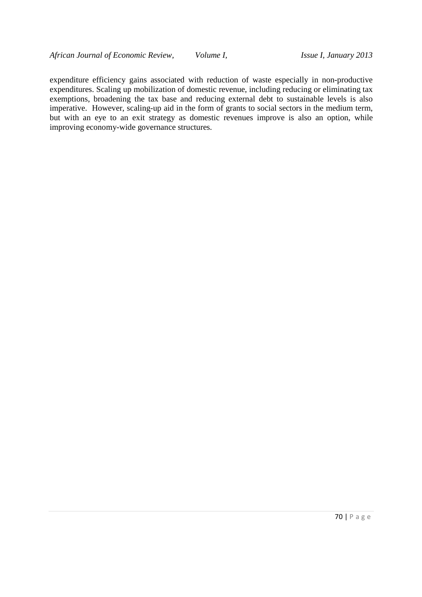expenditure efficiency gains associated with reduction of waste especially in non-productive expenditures. Scaling up mobilization of domestic revenue, including reducing or eliminating tax exemptions, broadening the tax base and reducing external debt to sustainable levels is also imperative. However, scaling-up aid in the form of grants to social sectors in the medium term, but with an eye to an exit strategy as domestic revenues improve is also an option, while improving economy-wide governance structures.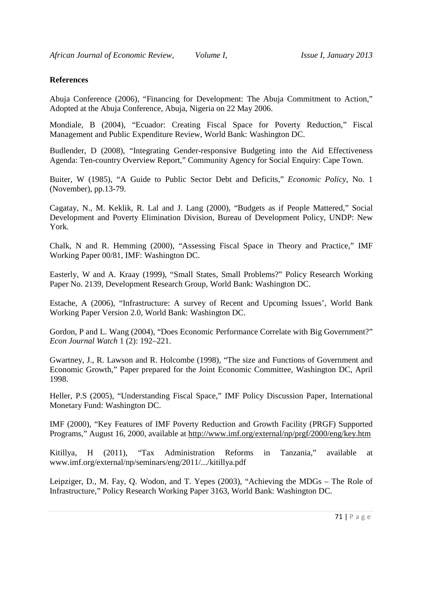### **References**

Abuja Conference (2006), "Financing for Development: The Abuja Commitment to Action," Adopted at the Abuja Conference, Abuja, Nigeria on 22 May 2006.

Mondiale, B (2004), "Ecuador: Creating Fiscal Space for Poverty Reduction," Fiscal Management and Public Expenditure Review, World Bank: Washington DC.

Budlender, D (2008), "Integrating Gender-responsive Budgeting into the Aid Effectiveness Agenda: Ten-country Overview Report," Community Agency for Social Enquiry: Cape Town.

Buiter, W (1985), "A Guide to Public Sector Debt and Deficits," *Economic Policy*, No. 1 (November), pp.13-79.

Cagatay, N., M. Keklik, R. Lal and J. Lang (2000), "Budgets as if People Mattered," Social Development and Poverty Elimination Division, Bureau of Development Policy, UNDP: New York.

Chalk, N and R. Hemming (2000), "Assessing Fiscal Space in Theory and Practice," IMF Working Paper 00/81, IMF: Washington DC.

Easterly, W and A. Kraay (1999), "Small States, Small Problems?" Policy Research Working Paper No. 2139, Development Research Group, World Bank: Washington DC.

Estache, A (2006), "Infrastructure: A survey of Recent and Upcoming Issues', World Bank Working Paper Version 2.0, World Bank: Washington DC.

Gordon, P and L. Wang (2004), "Does Economic Performance Correlate with Big Government?" *Econ Journal Watch* 1 (2): 192–221.

Gwartney, J., R. Lawson and R. Holcombe (1998), "The size and Functions of Government and Economic Growth," Paper prepared for the Joint Economic Committee, Washington DC, April 1998.

Heller, P.S (2005), "Understanding Fiscal Space," IMF Policy Discussion Paper, International Monetary Fund: Washington DC.

IMF (2000), "Key Features of IMF Poverty Reduction and Growth Facility (PRGF) Supported Programs," August 16, 2000, available at http://www.imf.org/external/np/prgf/2000/eng/key.htm

Kitillya, H (2011), "Tax Administration Reforms in Tanzania," available at www.imf.org/external/np/seminars/eng/2011/.../kitillya.pdf

Leipziger, D., M. Fay, Q. Wodon, and T. Yepes (2003), "Achieving the MDGs – The Role of Infrastructure," Policy Research Working Paper 3163, World Bank: Washington DC.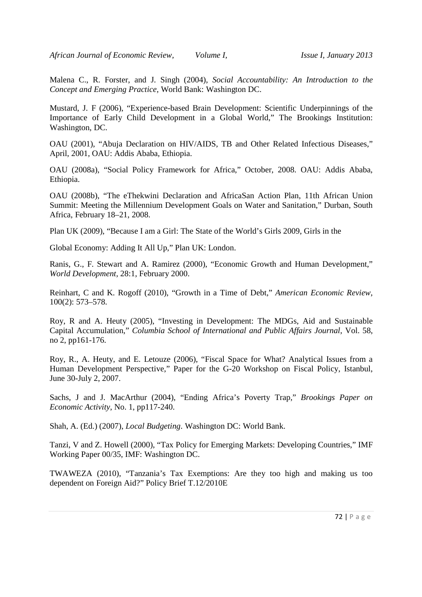Malena C., R. Forster, and J. Singh (2004), *Social Accountability: An Introduction to the Concept and Emerging Practice,* World Bank: Washington DC.

Mustard, J. F (2006), "Experience-based Brain Development: Scientific Underpinnings of the Importance of Early Child Development in a Global World," The Brookings Institution: Washington, DC.

OAU (2001), "Abuja Declaration on HIV/AIDS, TB and Other Related Infectious Diseases," April, 2001, OAU: Addis Ababa, Ethiopia.

OAU (2008a), "Social Policy Framework for Africa," October, 2008. OAU: Addis Ababa, Ethiopia.

OAU (2008b), "The eThekwini Declaration and AfricaSan Action Plan, 11th African Union Summit: Meeting the Millennium Development Goals on Water and Sanitation," Durban, South Africa, February 18–21, 2008.

Plan UK (2009), "Because I am a Girl: The State of the World's Girls 2009, Girls in the

Global Economy: Adding It All Up," Plan UK: London.

Ranis, G., F. Stewart and A. Ramirez (2000), "Economic Growth and Human Development," *World Development,* 28:1, February 2000.

Reinhart, C and K. Rogoff (2010), "Growth in a Time of Debt," *American Economic Review*, 100(2): 573–578.

Roy, R and A. Heuty (2005), "Investing in Development: The MDGs, Aid and Sustainable Capital Accumulation," *Columbia School of International and Public Affairs Journal*, Vol. 58, no 2, pp161-176.

Roy, R., A. Heuty, and E. Letouze (2006), "Fiscal Space for What? Analytical Issues from a Human Development Perspective," Paper for the G-20 Workshop on Fiscal Policy, Istanbul, June 30-July 2, 2007.

Sachs, J and J. MacArthur (2004), "Ending Africa's Poverty Trap," *Brookings Paper on Economic Activity*, No. 1, pp117-240.

Shah, A. (Ed.) (2007), *Local Budgeting*. Washington DC: World Bank.

Tanzi, V and Z. Howell (2000), "Tax Policy for Emerging Markets: Developing Countries," IMF Working Paper 00/35, IMF: Washington DC.

TWAWEZA (2010), "Tanzania's Tax Exemptions: Are they too high and making us too dependent on Foreign Aid?" Policy Brief T.12/2010E